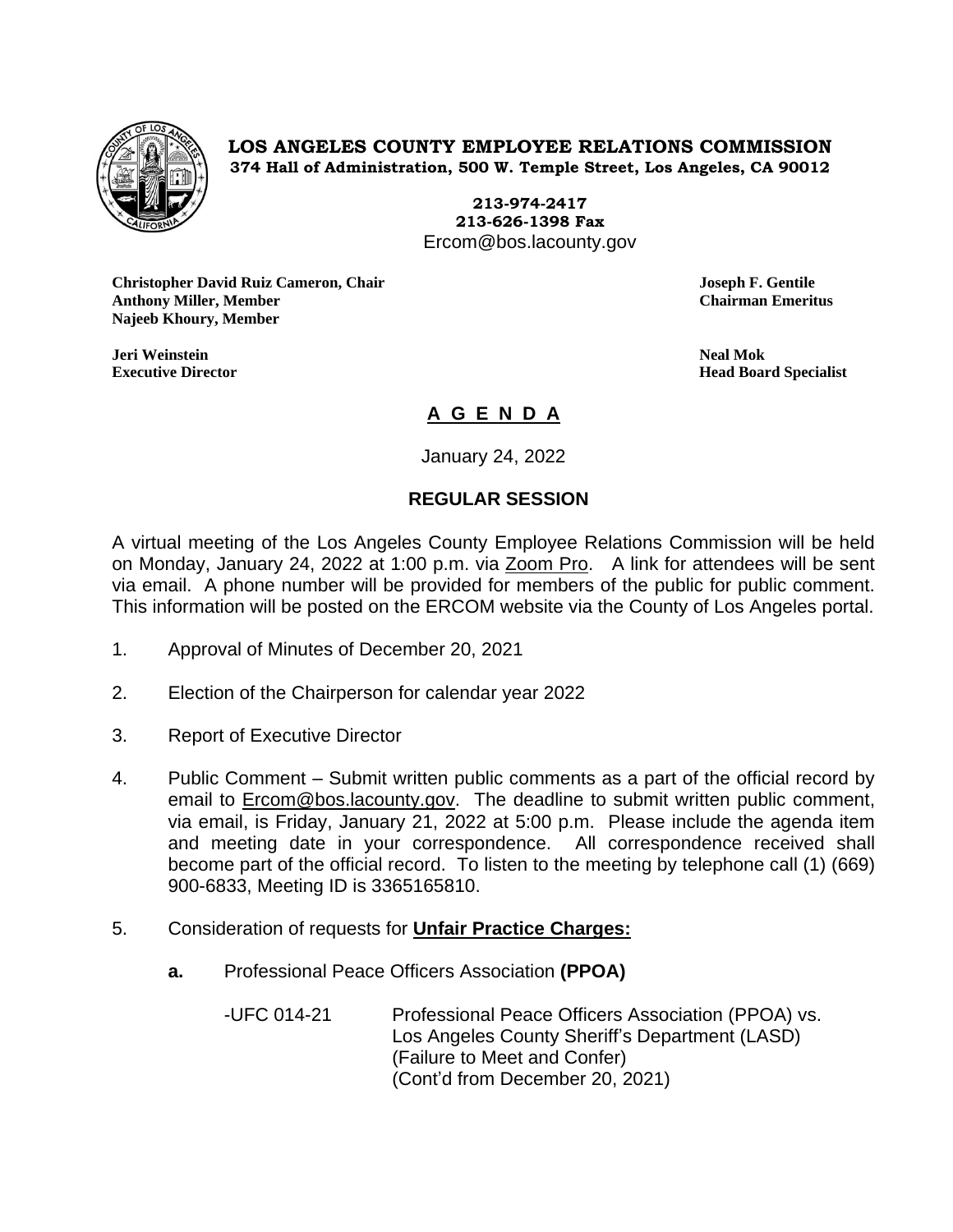

**LOS ANGELES COUNTY EMPLOYEE RELATIONS COMMISSION 374 Hall of Administration, 500 W. Temple Street, Los Angeles, CA 90012**

> **213-974-2417 213-626-1398 Fax** Ercom@bos.lacounty.gov

**Christopher David Ruiz Cameron, Chair Joseph F. Gentile Anthony Miller, Member Chairman Emeritus Najeeb Khoury, Member**

**Jeri Weinstein Neal Mok**

**Executive Director Head Board Specialist**

## **A G E N D A**

January 24, 2022

## **REGULAR SESSION**

A virtual meeting of the Los Angeles County Employee Relations Commission will be held on Monday, January 24, 2022 at 1:00 p.m. via Zoom Pro. A link for attendees will be sent via email. A phone number will be provided for members of the public for public comment. This information will be posted on the ERCOM website via the County of Los Angeles portal.

- 1. Approval of Minutes of December 20, 2021
- 2. Election of the Chairperson for calendar year 2022
- 3. Report of Executive Director
- 4. Public Comment Submit written public comments as a part of the official record by email to [Ercom@bos.lacounty.gov.](mailto:Ercom@bos.lacounty.gov) The deadline to submit written public comment, via email, is Friday, January 21, 2022 at 5:00 p.m. Please include the agenda item and meeting date in your correspondence. All correspondence received shall become part of the official record. To listen to the meeting by telephone call (1) (669) 900-6833, Meeting ID is 3365165810.
- 5. Consideration of requests for **Unfair Practice Charges:**
	- **a.** Professional Peace Officers Association **(PPOA)**

-UFC 014-21 Professional Peace Officers Association (PPOA) vs. Los Angeles County Sheriff's Department (LASD) (Failure to Meet and Confer) (Cont'd from December 20, 2021)